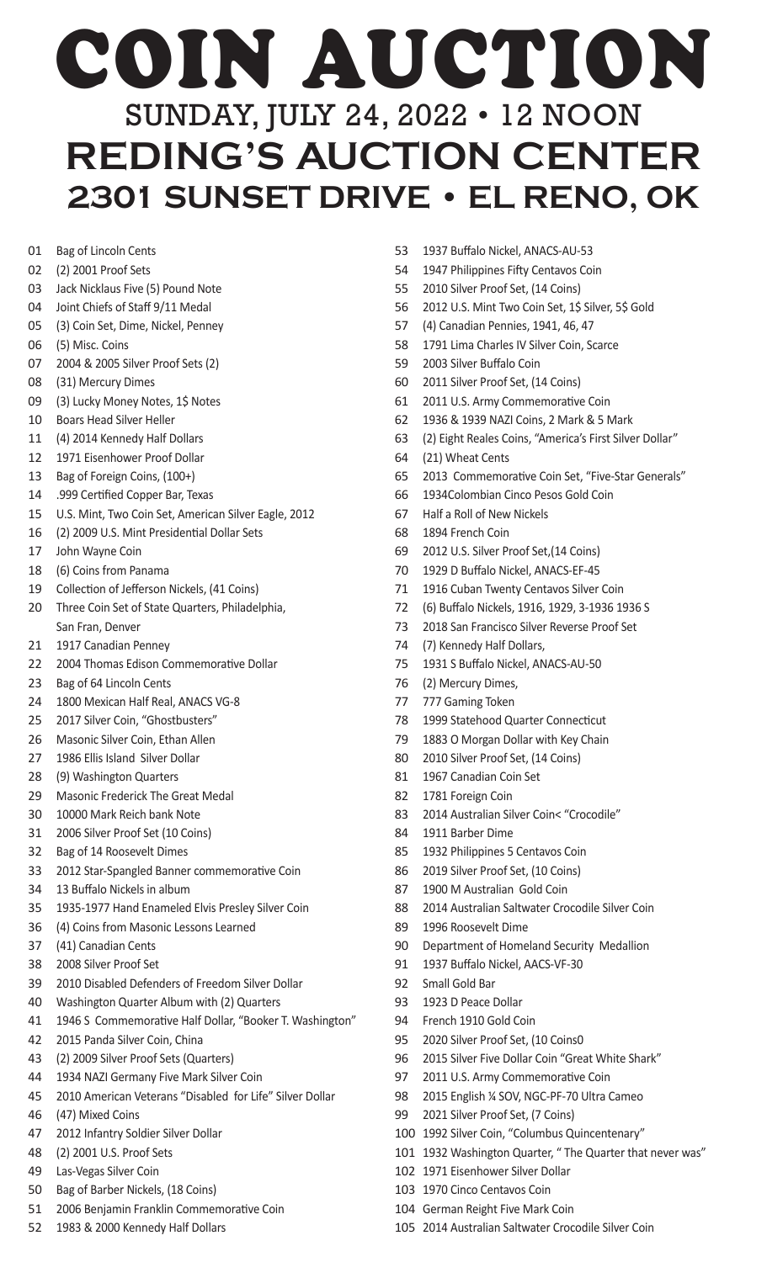## COIN AUCTION SUNDAY, JULY 24, 2022 • 12 NOON **REDING'S AUCTION CENTER 2301 SUNSET DRIVE • EL RENO, OK**

- Bag of Lincoln Cents
- (2) 2001 Proof Sets
- Jack Nicklaus Five (5) Pound Note
- Joint Chiefs of Staff 9/11 Medal
- (3) Coin Set, Dime, Nickel, Penney
- (5) Misc. Coins
- 2004 & 2005 Silver Proof Sets (2)
- (31) Mercury Dimes
- (3) Lucky Money Notes, 1\$ Notes
- Boars Head Silver Heller
- (4) 2014 Kennedy Half Dollars
- 1971 Eisenhower Proof Dollar
- Bag of Foreign Coins, (100+)
- .999 Certified Copper Bar, Texas
- U.S. Mint, Two Coin Set, American Silver Eagle, 2012
- (2) 2009 U.S. Mint Presidential Dollar Sets
- John Wayne Coin
- (6) Coins from Panama
- Collection of Jefferson Nickels, (41 Coins)
- Three Coin Set of State Quarters, Philadelphia, San Fran, Denver
- 1917 Canadian Penney
- 2004 Thomas Edison Commemorative Dollar
- Bag of 64 Lincoln Cents
- 1800 Mexican Half Real, ANACS VG-8
- 25 2017 Silver Coin, "Ghostbusters"
- Masonic Silver Coin, Ethan Allen
- 1986 Ellis Island Silver Dollar
- (9) Washington Quarters
- Masonic Frederick The Great Medal
- 10000 Mark Reich bank Note
- 2006 Silver Proof Set (10 Coins)
- Bag of 14 Roosevelt Dimes
- 2012 Star-Spangled Banner commemorative Coin
- 13 Buffalo Nickels in album
- 1935-1977 Hand Enameled Elvis Presley Silver Coin
- (4) Coins from Masonic Lessons Learned
- (41) Canadian Cents
- 2008 Silver Proof Set
- 2010 Disabled Defenders of Freedom Silver Dollar
- Washington Quarter Album with (2) Quarters
- 1946 S Commemorative Half Dollar, "Booker T. Washington"
- 2015 Panda Silver Coin, China
- (2) 2009 Silver Proof Sets (Quarters)
- 1934 NAZI Germany Five Mark Silver Coin
- 2010 American Veterans "Disabled for Life" Silver Dollar
- (47) Mixed Coins
- 2012 Infantry Soldier Silver Dollar
- (2) 2001 U.S. Proof Sets
- Las-Vegas Silver Coin
- Bag of Barber Nickels, (18 Coins)
- 2006 Benjamin Franklin Commemorative Coin
- 1983 & 2000 Kennedy Half Dollars
- 1937 Buffalo Nickel, ANACS-AU-53
- 1947 Philippines Fifty Centavos Coin
- 2010 Silver Proof Set, (14 Coins)
- 2012 U.S. Mint Two Coin Set, 1\$ Silver, 5\$ Gold
- (4) Canadian Pennies, 1941, 46, 47
- 1791 Lima Charles IV Silver Coin, Scarce
- 2003 Silver Buffalo Coin
- 2011 Silver Proof Set, (14 Coins)
- 2011 U.S. Army Commemorative Coin
- 1936 & 1939 NAZI Coins, 2 Mark & 5 Mark
- (2) Eight Reales Coins, "America's First Silver Dollar"
- (21) Wheat Cents
- 2013 Commemorative Coin Set, "Five-Star Generals"
- 1934Colombian Cinco Pesos Gold Coin
- Half a Roll of New Nickels
- 1894 French Coin
- 2012 U.S. Silver Proof Set,(14 Coins)
- 1929 D Buffalo Nickel, ANACS-EF-45
- 1916 Cuban Twenty Centavos Silver Coin
- (6) Buffalo Nickels, 1916, 1929, 3-1936 1936 S
- 2018 San Francisco Silver Reverse Proof Set
- (7) Kennedy Half Dollars,
- 1931 S Buffalo Nickel, ANACS-AU-50
- (2) Mercury Dimes,
- 777 Gaming Token
- 1999 Statehood Quarter Connecticut
- 1883 O Morgan Dollar with Key Chain
- 2010 Silver Proof Set, (14 Coins)
- 1967 Canadian Coin Set
- 1781 Foreign Coin
- 2014 Australian Silver Coin< "Crocodile"
- 1911 Barber Dime
- 1932 Philippines 5 Centavos Coin
- 2019 Silver Proof Set, (10 Coins)
- 1900 M Australian Gold Coin
- 2014 Australian Saltwater Crocodile Silver Coin
- 1996 Roosevelt Dime
- Department of Homeland Security Medallion
- 1937 Buffalo Nickel, AACS-VF-30
- Small Gold Bar
- 1923 D Peace Dollar
- French 1910 Gold Coin
- 2020 Silver Proof Set, (10 Coins0
- 2015 Silver Five Dollar Coin "Great White Shark"
- 2011 U.S. Army Commemorative Coin
- 2015 English ¼ SOV, NGC-PF-70 Ultra Cameo

1992 Silver Coin, "Columbus Quincentenary"

2014 Australian Saltwater Crocodile Silver Coin

1932 Washington Quarter, " The Quarter that never was"

2021 Silver Proof Set, (7 Coins)

 1971 Eisenhower Silver Dollar 1970 Cinco Centavos Coin German Reight Five Mark Coin